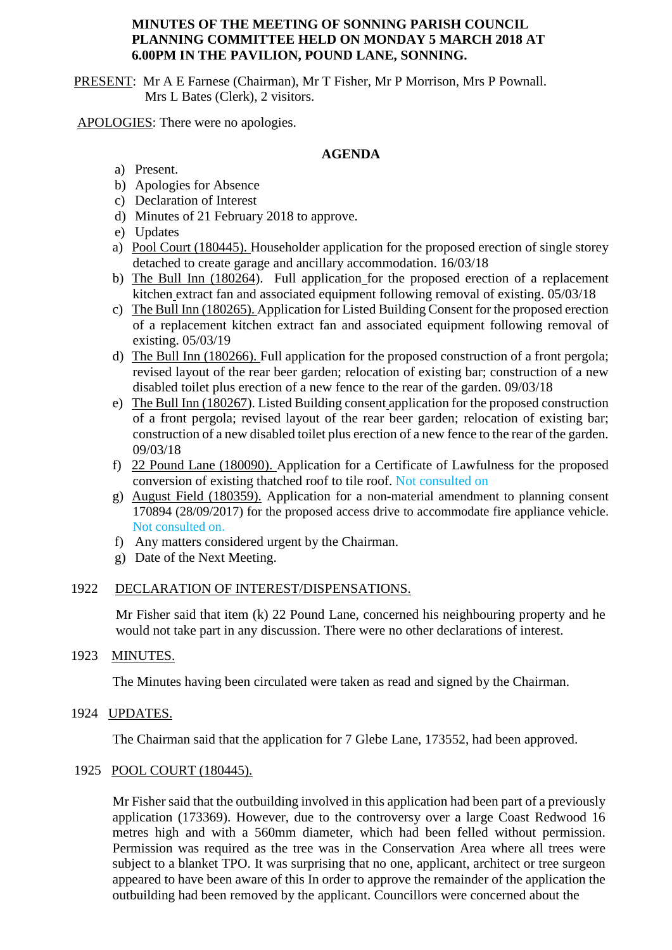## **MINUTES OF THE MEETING OF SONNING PARISH COUNCIL PLANNING COMMITTEE HELD ON MONDAY 5 MARCH 2018 AT 6.00PM IN THE PAVILION, POUND LANE, SONNING.**

PRESENT: Mr A E Farnese (Chairman), Mr T Fisher, Mr P Morrison, Mrs P Pownall. Mrs L Bates (Clerk), 2 visitors.

APOLOGIES: There were no apologies.

# **AGENDA**

- a) Present.
- b) Apologies for Absence
- c) Declaration of Interest
- d) Minutes of 21 February 2018 to approve.
- e) Updates
- a) Pool Court (180445). Householder application for the proposed erection of single storey detached to create garage and ancillary accommodation. 16/03/18
- b) The Bull Inn (180264). Full application for the proposed erection of a replacement kitchen extract fan and associated equipment following removal of existing. 05/03/18
- c) The Bull Inn (180265). Application for Listed Building Consent for the proposed erection of a replacement kitchen extract fan and associated equipment following removal of existing. 05/03/19
- d) The Bull Inn (180266). Full application for the proposed construction of a front pergola; revised layout of the rear beer garden; relocation of existing bar; construction of a new disabled toilet plus erection of a new fence to the rear of the garden. 09/03/18
- e) The Bull Inn (180267). Listed Building consent application for the proposed construction of a front pergola; revised layout of the rear beer garden; relocation of existing bar; construction of a new disabled toilet plus erection of a new fence to the rear of the garden. 09/03/18
- f) 22 Pound Lane (180090). Application for a Certificate of Lawfulness for the proposed conversion of existing thatched roof to tile roof. Not consulted on
- g) August Field (180359). Application for a non-material amendment to planning consent 170894 (28/09/2017) for the proposed access drive to accommodate fire appliance vehicle. Not consulted on.
- f) Any matters considered urgent by the Chairman.
- g) Date of the Next Meeting.

### 1922 DECLARATION OF INTEREST/DISPENSATIONS.

Mr Fisher said that item (k) 22 Pound Lane, concerned his neighbouring property and he would not take part in any discussion. There were no other declarations of interest.

### 1923 MINUTES.

The Minutes having been circulated were taken as read and signed by the Chairman.

1924 UPDATES.

The Chairman said that the application for 7 Glebe Lane, 173552, had been approved.

### 1925 POOL COURT (180445).

Mr Fisher said that the outbuilding involved in this application had been part of a previously application (173369). However, due to the controversy over a large Coast Redwood 16 metres high and with a 560mm diameter, which had been felled without permission. Permission was required as the tree was in the Conservation Area where all trees were subject to a blanket TPO. It was surprising that no one, applicant, architect or tree surgeon appeared to have been aware of this In order to approve the remainder of the application the outbuilding had been removed by the applicant. Councillors were concerned about the